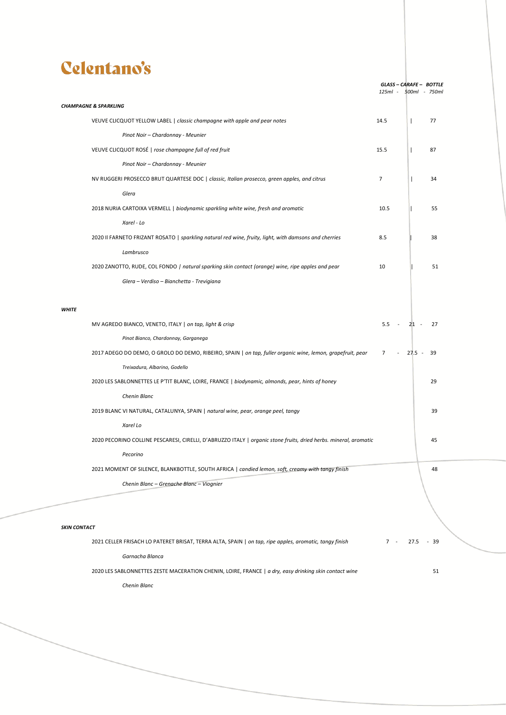## Celentano's

|                     |                                                                                                                  | 125ml -        | GLASS-CARAFE- BOTTLE<br>500ml - 750ml |     |
|---------------------|------------------------------------------------------------------------------------------------------------------|----------------|---------------------------------------|-----|
|                     |                                                                                                                  |                |                                       |     |
|                     | <b>CHAMPAGNE &amp; SPARKLING</b>                                                                                 |                |                                       |     |
|                     | VEUVE CLICQUOT YELLOW LABEL   classic champagne with apple and pear notes                                        | 14.5           | $\mathbf{I}$                          | 77  |
|                     | Pinot Noir - Chardonnay - Meunier                                                                                |                |                                       |     |
|                     | VEUVE CLICQUOT ROSÉ   rose champagne full of red fruit                                                           | 15.5           | $\mathbf{I}$                          | 87  |
|                     | Pinot Noir - Chardonnay - Meunier                                                                                |                |                                       |     |
|                     | NV RUGGERI PROSECCO BRUT QUARTESE DOC   classic, Italian prosecco, green apples, and citrus                      | $\overline{7}$ | $\mathbf{I}$                          | 34  |
|                     | Glera                                                                                                            |                |                                       |     |
|                     | 2018 NURIA CARTOIXA VERMELL   biodynamic sparkling white wine, fresh and aromatic                                | 10.5           |                                       | 55  |
|                     | Xarel - Lo                                                                                                       |                |                                       |     |
|                     | 2020 Il FARNETO FRIZANT ROSATO   sparkling natural red wine, fruity, light, with damsons and cherries            | 8.5            |                                       | 38  |
|                     | Lambrusco                                                                                                        |                |                                       |     |
|                     | 2020 ZANOTTO, RUDE, COL FONDO   natural sparking skin contact (orange) wine, ripe apples and pear                | 10             |                                       | 51  |
|                     | Glera - Verdiso - Bianchetta - Trevigiana                                                                        |                |                                       |     |
|                     |                                                                                                                  |                |                                       |     |
| <b>WHITE</b>        |                                                                                                                  |                |                                       |     |
|                     | MV AGREDO BIANCO, VENETO, ITALY   on tap, light & crisp                                                          | $5.5 -$        | $21 -$                                | 27  |
|                     | Pinot Bianco, Chardonnay, Garganega                                                                              |                |                                       |     |
|                     | 2017 ADEGO DO DEMO, O GROLO DO DEMO, RIBEIRO, SPAIN   on tap, fuller organic wine, lemon, grapefruit, pear 7     |                | $-27.5 -$                             | -39 |
|                     | Treixadura, Albarino, Godello                                                                                    |                |                                       |     |
|                     | 2020 LES SABLONNETTES LE P'TIT BLANC, LOIRE, FRANCE   biodynamic, almonds, pear, hints of honey                  |                |                                       | 29  |
|                     | Chenin Blanc                                                                                                     |                |                                       |     |
|                     | 2019 BLANC VI NATURAL, CATALUNYA, SPAIN   natural wine, pear, orange peel, tangy                                 |                |                                       | 39  |
|                     | Xarel Lo                                                                                                         |                |                                       |     |
|                     | 2020 PECORINO COLLINE PESCARESI, CIRELLI, D'ABRUZZO ITALY   organic stone fruits, dried herbs. mineral, aromatic |                |                                       | 45  |
|                     | Pecorino                                                                                                         |                |                                       |     |
|                     | 2021 MOMENT OF SILENCE, BLANKBOTTLE, SOUTH AFRICA   candied lemon, soft, creamy with tangy finish                |                |                                       | 48  |
|                     | Chenin Blanc - Grenache Blanc - Viognier                                                                         |                |                                       |     |
|                     |                                                                                                                  |                |                                       |     |
|                     |                                                                                                                  |                |                                       |     |
| <b>SKIN CONTACT</b> |                                                                                                                  |                |                                       |     |
|                     | 2021 CELLER FRISACH LO PATERET BRISAT, TERRA ALTA, SPAIN   on tap, ripe apples, aromatic, tangy finish           | $7 -$          |                                       |     |
|                     |                                                                                                                  |                | 27.5 - 39                             |     |

*Garnacha Blanca*

2020 LES SABLONNETTES ZESTE MACERATION CHENIN, LOIRE, FRANCE | *a dry, easy drinking skin contact wine* 51

*Chenin Blanc*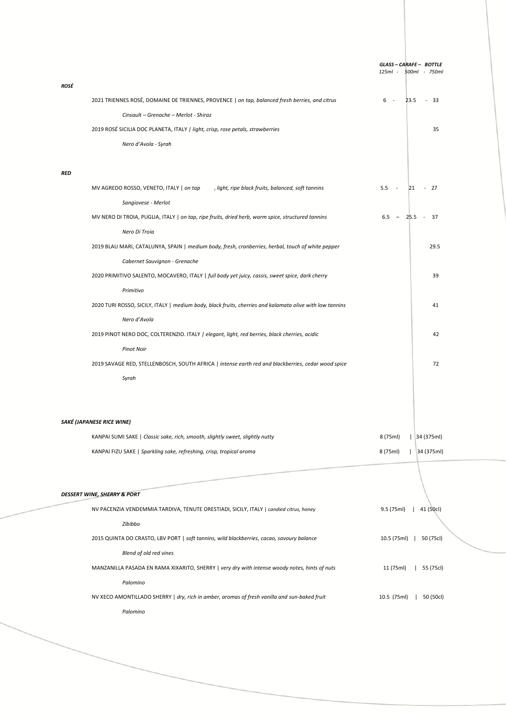|                                                                                                          | GLASS-CARAFE- BOTTLE     |
|----------------------------------------------------------------------------------------------------------|--------------------------|
|                                                                                                          | 125ml - 500ml - 750ml    |
| ROSÉ                                                                                                     |                          |
| 2021 TRIENNES ROSÉ, DOMAINE DE TRIENNES, PROVENCE   on tap, balanced fresh berries, and citrus           | $6 -$<br>$23.5 - 33$     |
| Cinsault - Grenache - Merlot - Shiraz                                                                    |                          |
| 2019 ROSÉ SICILIA DOC PLANETA, ITALY / light, crisp, rose petals, strawberries                           | 35                       |
| Nero d'Avola - Syrah                                                                                     |                          |
| <b>RED</b>                                                                                               |                          |
| , light, ripe black fruits, balanced, soft tannins<br>MV AGREDO ROSSO, VENETO, ITALY   on tap            | $5.5 - 5$<br>$21 - 27$   |
| Sangiovese - Merlot                                                                                      |                          |
| MV NERO DI TROIA, PUGLIA, ITALY   on tap, ripe fruits, dried herb, warm spice, structured tannins        | $6.5 - 25.5 - 37$        |
| Nero Di Troia                                                                                            |                          |
| 2019 BLAU MARI, CATALUNYA, SPAIN   medium body, fresh, cranberries, herbal, touch of white pepper        | 29.5                     |
| Cabernet Sauvignon - Grenache                                                                            |                          |
| 2020 PRIMITIVO SALENTO, MOCAVERO, ITALY   full body yet juicy, cassis, sweet spice, dark cherry          | 39                       |
| Primitivo                                                                                                |                          |
| 2020 TURI ROSSO, SICILY, ITALY   medium body, black fruits, cherries and kalamata olive with low tannins | 41                       |
| Nero d'Avola                                                                                             |                          |
| 2019 PINOT NERO DOC, COLTERENZIO. ITALY / elegant, light, red berries, black cherries, acidic            | 42                       |
| <b>Pinot Noir</b>                                                                                        |                          |
| 2019 SAVAGE RED, STELLENBOSCH, SOUTH AFRICA   intense earth red and blackberries, cedar wood spice       | 72                       |
| Syrah                                                                                                    |                          |
|                                                                                                          |                          |
|                                                                                                          |                          |
| SAKÉ (JAPANESE RICE WINE)                                                                                |                          |
| KANPAI SUMI SAKE   Classic sake, rich, smooth, slightly sweet, slightly nutty                            | 8 (75ml)<br> 34(375ml)   |
| KANPAI FIZU SAKE   Sparkling sake, refreshing, crisp, tropical aroma                                     | 8 (75ml)<br>34 (375ml)   |
|                                                                                                          |                          |
| <b>DESSERT WINE, SHERRY &amp; PORT</b>                                                                   |                          |
| NV PACENZIA VENDEMMIA TARDIVA, TENUTE ORESTIADI, SICILY, ITALY   candied citrus, honey                   | 41 (50cl)<br>9.5 (75ml)  |
| Zibibbo                                                                                                  |                          |
| 2015 QUINTA DO CRASTO, LBV PORT   soft tannins, wild blackberries, cacao, savoury balance                | 10.5 (75ml)<br>50 (75cl) |
| Blend of old red vines                                                                                   |                          |
| MANZANILLA PASADA EN RAMA XIXARITO, SHERRY   very dry with intense woody notes, hints of nuts            | 11 (75ml)<br>55 (75cl)   |
| Palomino                                                                                                 |                          |
| NV XECO AMONTILLADO SHERRY   dry, rich in amber, aromas of fresh vanilla and sun-baked fruit             | 10.5 (75ml)<br>50 (50cl) |
| Palomino                                                                                                 |                          |